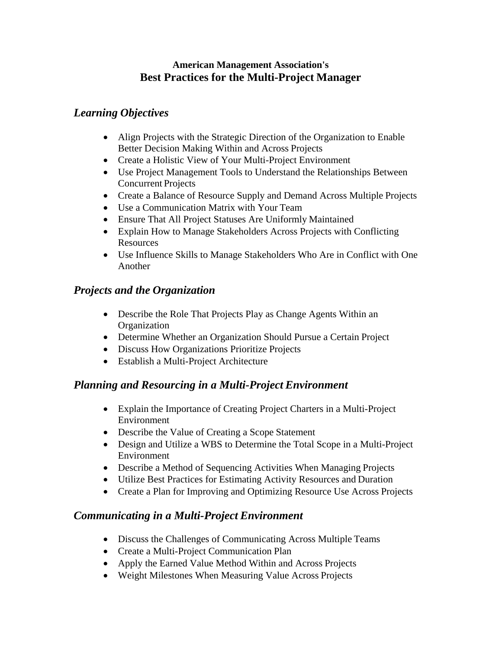#### **American Management Association's Best Practices for the Multi-Project Manager**

#### *Learning Objectives*

- Align Projects with the Strategic Direction of the Organization to Enable Better Decision Making Within and Across Projects
- Create a Holistic View of Your Multi-Project Environment
- Use Project Management Tools to Understand the Relationships Between Concurrent Projects
- Create a Balance of Resource Supply and Demand Across Multiple Projects
- Use a Communication Matrix with Your Team
- Ensure That All Project Statuses Are Uniformly Maintained
- Explain How to Manage Stakeholders Across Projects with Conflicting Resources
- Use Influence Skills to Manage Stakeholders Who Are in Conflict with One Another

## *Projects and the Organization*

- Describe the Role That Projects Play as Change Agents Within an **Organization**
- Determine Whether an Organization Should Pursue a Certain Project
- Discuss How Organizations Prioritize Projects
- Establish a Multi-Project Architecture

# *Planning and Resourcing in a Multi-Project Environment*

- Explain the Importance of Creating Project Charters in a Multi-Project Environment
- Describe the Value of Creating a Scope Statement
- Design and Utilize a WBS to Determine the Total Scope in a Multi-Project Environment
- Describe a Method of Sequencing Activities When Managing Projects
- Utilize Best Practices for Estimating Activity Resources and Duration
- Create a Plan for Improving and Optimizing Resource Use Across Projects

# *Communicating in a Multi-Project Environment*

- Discuss the Challenges of Communicating Across Multiple Teams
- Create a Multi-Project Communication Plan
- Apply the Earned Value Method Within and Across Projects
- Weight Milestones When Measuring Value Across Projects